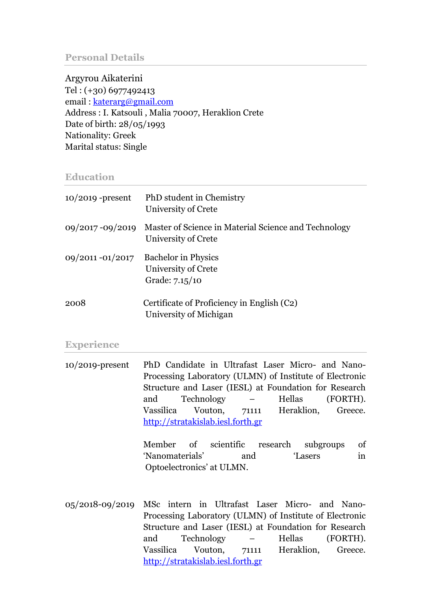#### **Personal Details**

Argyrou Aikaterini Tel : (+30) 6977492413 email : [katerarg@gmail.com](mailto:katerarg@gmail.com) Address : I. Katsouli , Malia 70007, Heraklion Crete Date of birth: 28/05/1993 Nationality: Greek Marital status: Single

#### **Education**

| $10/2019$ -present | PhD student in Chemistry<br>University of Crete                             |
|--------------------|-----------------------------------------------------------------------------|
| 09/2017 - 09/2019  | Master of Science in Material Science and Technology<br>University of Crete |
| 09/2011 -01/2017   | <b>Bachelor</b> in Physics<br>University of Crete<br>Grade: 7.15/10         |
| 2008               | Certificate of Proficiency in English (C2)<br>University of Michigan        |

#### **Experience**

10/2019-present PhD Candidate in Ultrafast Laser Micro- and Nano-Processing Laboratory (ULMN) of Institute of Electronic Structure and Laser (IESL) at Foundation for Research and Technology – Hellas (FORTH). Vassilica Vouton, 71111 Heraklion, Greece. [http://stratakislab.iesl.forth.gr](http://stratakislab.iesl.forth.gr/) 

> Member of scientific research subgroups of 'Nanomaterials' and 'Lasers in Optoelectronics' at ULMN.

05/2018-09/2019 MSc intern in Ultrafast Laser Micro- and Nano-Processing Laboratory (ULMN) of Institute of Electronic Structure and Laser (IESL) at Foundation for Research and Technology – Hellas (FORTH). Vassilica Vouton, 71111 Heraklion, Greece. [http://stratakislab.iesl.forth.gr](http://stratakislab.iesl.forth.gr/)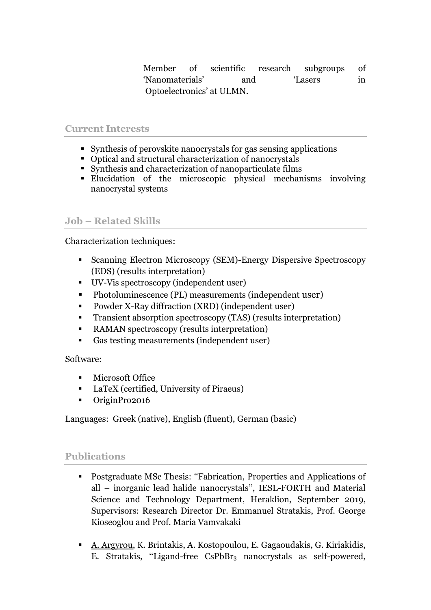Member of scientific research subgroups of 'Nanomaterials' and 'Lasers in Optoelectronics' at ULMN.

## **Current Interests**

- Synthesis of perovskite nanocrystals for gas sensing applications
- Optical and structural characterization of nanocrystals
- Synthesis and characterization of nanoparticulate films
- Elucidation of the microscopic physical mechanisms involving nanocrystal systems

## **Job – Related Skills**

Characterization techniques:

- Scanning Electron Microscopy (SEM)-Energy Dispersive Spectroscopy (EDS) (results interpretation)
- UV-Vis spectroscopy (independent user)
- Photoluminescence (PL) measurements (independent user)
- Powder X-Ray diffraction (XRD) (independent user)
- Transient absorption spectroscopy (TAS) (results interpretation)
- RAMAN spectroscopy (results interpretation)
- Gas testing measurements (independent user)

## Software:

- Microsoft Office
- LaTeX (certified, University of Piraeus)
- OriginPro2016

Languages: Greek (native), English (fluent), German (basic)

## **Publications**

- Postgraduate MSc Thesis: "Fabrication, Properties and Applications of all – inorganic lead halide nanocrystals'', IESL-FORTH and Material Science and Technology Department, Heraklion, September 2019, Supervisors: Research Director Dr. Emmanuel Stratakis, Prof. George Kioseoglou and Prof. Maria Vamvakaki
- A. Argyrou, K. Brintakis, A. Kostopoulou, E. Gagaoudakis, G. Kiriakidis, E. Stratakis, "Ligand-free CsPbBr<sub>3</sub> nanocrystals as self-powered,